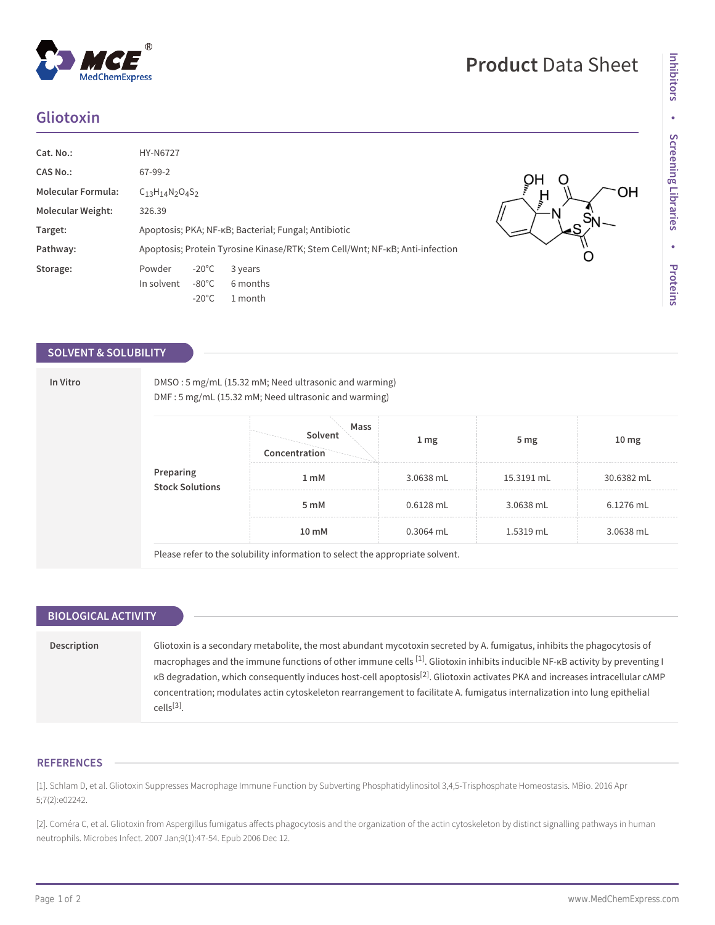## **Gliotoxin**

| Cat. No.:                | <b>HY-N6727</b>                                                              |          |  |  |  |
|--------------------------|------------------------------------------------------------------------------|----------|--|--|--|
| <b>CAS No.:</b>          | 67-99-2                                                                      |          |  |  |  |
| Molecular Formula:       | $C_{13}H_{14}N_2O_4S_2$                                                      |          |  |  |  |
| <b>Molecular Weight:</b> | 326.39                                                                       |          |  |  |  |
| Target:                  | Apoptosis; PKA; NF-KB; Bacterial; Fungal; Antibiotic                         |          |  |  |  |
| Pathway:                 | Apoptosis; Protein Tyrosine Kinase/RTK; Stem Cell/Wnt; NF-KB; Anti-infection |          |  |  |  |
| Storage:                 | $-20^{\circ}$ C<br>Powder                                                    | 3 years  |  |  |  |
|                          | In solvent<br>$-80^{\circ}$ C                                                | 6 months |  |  |  |
|                          | $-20^{\circ}$ C                                                              | 1 month  |  |  |  |

## **SOLVENT & SOLUBILITY**

|  | Preparing<br><b>Stock Solutions</b> | Mass<br>Solvent  |                  |                 |                  |
|--|-------------------------------------|------------------|------------------|-----------------|------------------|
|  |                                     | Concentration    | $1 \, \text{mg}$ | 5 <sub>mg</sub> | 10 <sub>mg</sub> |
|  |                                     | 1 <sub>m</sub> M | 3.0638 mL        | 15.3191 mL      | 30.6382 mL       |
|  |                                     | 5 mM             | $0.6128$ mL      | 3.0638 mL       | $6.1276$ mL      |
|  |                                     | 10 mM            | $0.3064$ mL      | 1.5319 mL       | 3.0638 mL        |

| <b>BIOLOGICAL ACTIVITY</b> |                                                                                                                                                                                                                                                                                                                                                                                                                                                                                                                                                                          |
|----------------------------|--------------------------------------------------------------------------------------------------------------------------------------------------------------------------------------------------------------------------------------------------------------------------------------------------------------------------------------------------------------------------------------------------------------------------------------------------------------------------------------------------------------------------------------------------------------------------|
|                            |                                                                                                                                                                                                                                                                                                                                                                                                                                                                                                                                                                          |
| Description                | Gliotoxin is a secondary metabolite, the most abundant mycotoxin secreted by A. fumigatus, inhibits the phagocytosis of<br>macrophages and the immune functions of other immune cells $^{[1]}$ . Gliotoxin inhibits inducible NF- $\kappa$ B activity by preventing I<br>KB degradation, which consequently induces host-cell apoptosis <sup>[2]</sup> . Gliotoxin activates PKA and increases intracellular cAMP<br>concentration; modulates actin cytoskeleton rearrangement to facilitate A. fumigatus internalization into lung epithelial<br>cells <sup>[3]</sup> . |
|                            |                                                                                                                                                                                                                                                                                                                                                                                                                                                                                                                                                                          |

## **REFERENCES**

[1]. Schlam D, et al. Gliotoxin Suppresses Macrophage Immune Function by Subverting Phosphatidylinositol 3,4,5-Trisphosphate Homeostasis. MBio. 2016 Apr 5;7(2):e02242.

[2]. Coméra C, et al. Gliotoxin from Aspergillus fumigatus affects phagocytosis and the organization of the actin cytoskeleton by distinct signalling pathways in human neutrophils. Microbes Infect. 2007 Jan;9(1):47-54. Epub 2006 Dec 12.

 $-OH$